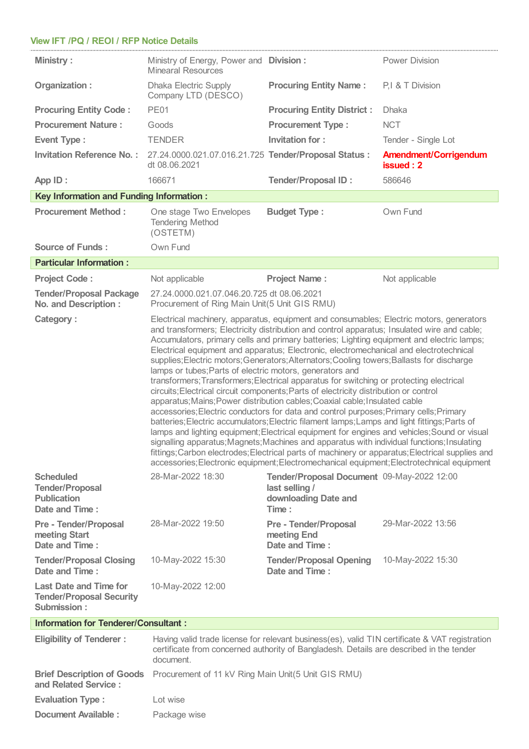## **View IFT /PQ /REOI / RFP Notice Details**

| <b>Ministry:</b>                                                                   | Ministry of Energy, Power and Division:<br><b>Minearal Resources</b>                                                                                                                                                                                                                                                                                                                                                                                                                                                                                                                                                                                                                                                                                                                                                                                                                                                                                                                                                                                                                                                                                                                                                                                                                                                                                                                                   |                                                                                               | <b>Power Division</b>                     |  |
|------------------------------------------------------------------------------------|--------------------------------------------------------------------------------------------------------------------------------------------------------------------------------------------------------------------------------------------------------------------------------------------------------------------------------------------------------------------------------------------------------------------------------------------------------------------------------------------------------------------------------------------------------------------------------------------------------------------------------------------------------------------------------------------------------------------------------------------------------------------------------------------------------------------------------------------------------------------------------------------------------------------------------------------------------------------------------------------------------------------------------------------------------------------------------------------------------------------------------------------------------------------------------------------------------------------------------------------------------------------------------------------------------------------------------------------------------------------------------------------------------|-----------------------------------------------------------------------------------------------|-------------------------------------------|--|
| Organization:                                                                      | <b>Dhaka Electric Supply</b><br>Company LTD (DESCO)                                                                                                                                                                                                                                                                                                                                                                                                                                                                                                                                                                                                                                                                                                                                                                                                                                                                                                                                                                                                                                                                                                                                                                                                                                                                                                                                                    | <b>Procuring Entity Name:</b>                                                                 | P,I & T Division                          |  |
| <b>Procuring Entity Code:</b>                                                      | <b>PE01</b>                                                                                                                                                                                                                                                                                                                                                                                                                                                                                                                                                                                                                                                                                                                                                                                                                                                                                                                                                                                                                                                                                                                                                                                                                                                                                                                                                                                            | <b>Procuring Entity District:</b>                                                             | <b>Dhaka</b>                              |  |
| <b>Procurement Nature:</b>                                                         | Goods                                                                                                                                                                                                                                                                                                                                                                                                                                                                                                                                                                                                                                                                                                                                                                                                                                                                                                                                                                                                                                                                                                                                                                                                                                                                                                                                                                                                  | <b>Procurement Type:</b>                                                                      | <b>NCT</b>                                |  |
| <b>Event Type:</b>                                                                 | <b>TENDER</b>                                                                                                                                                                                                                                                                                                                                                                                                                                                                                                                                                                                                                                                                                                                                                                                                                                                                                                                                                                                                                                                                                                                                                                                                                                                                                                                                                                                          | <b>Invitation for:</b>                                                                        | Tender - Single Lot                       |  |
| <b>Invitation Reference No.:</b>                                                   | 27.24.0000.021.07.016.21.725 Tender/Proposal Status :<br>dt 08.06.2021                                                                                                                                                                                                                                                                                                                                                                                                                                                                                                                                                                                                                                                                                                                                                                                                                                                                                                                                                                                                                                                                                                                                                                                                                                                                                                                                 |                                                                                               | <b>Amendment/Corrigendum</b><br>issued: 2 |  |
| App ID:                                                                            | 166671                                                                                                                                                                                                                                                                                                                                                                                                                                                                                                                                                                                                                                                                                                                                                                                                                                                                                                                                                                                                                                                                                                                                                                                                                                                                                                                                                                                                 | <b>Tender/Proposal ID:</b>                                                                    | 586646                                    |  |
| <b>Key Information and Funding Information:</b>                                    |                                                                                                                                                                                                                                                                                                                                                                                                                                                                                                                                                                                                                                                                                                                                                                                                                                                                                                                                                                                                                                                                                                                                                                                                                                                                                                                                                                                                        |                                                                                               |                                           |  |
| <b>Procurement Method:</b>                                                         | One stage Two Envelopes<br><b>Tendering Method</b><br>(OSTETM)                                                                                                                                                                                                                                                                                                                                                                                                                                                                                                                                                                                                                                                                                                                                                                                                                                                                                                                                                                                                                                                                                                                                                                                                                                                                                                                                         | <b>Budget Type:</b>                                                                           | Own Fund                                  |  |
| <b>Source of Funds:</b>                                                            | Own Fund                                                                                                                                                                                                                                                                                                                                                                                                                                                                                                                                                                                                                                                                                                                                                                                                                                                                                                                                                                                                                                                                                                                                                                                                                                                                                                                                                                                               |                                                                                               |                                           |  |
| <b>Particular Information:</b>                                                     |                                                                                                                                                                                                                                                                                                                                                                                                                                                                                                                                                                                                                                                                                                                                                                                                                                                                                                                                                                                                                                                                                                                                                                                                                                                                                                                                                                                                        |                                                                                               |                                           |  |
| <b>Project Code:</b>                                                               | Not applicable                                                                                                                                                                                                                                                                                                                                                                                                                                                                                                                                                                                                                                                                                                                                                                                                                                                                                                                                                                                                                                                                                                                                                                                                                                                                                                                                                                                         | <b>Project Name:</b>                                                                          | Not applicable                            |  |
| <b>Tender/Proposal Package</b><br><b>No. and Description:</b>                      | 27.24.0000.021.07.046.20.725 dt 08.06.2021<br>Procurement of Ring Main Unit(5 Unit GIS RMU)                                                                                                                                                                                                                                                                                                                                                                                                                                                                                                                                                                                                                                                                                                                                                                                                                                                                                                                                                                                                                                                                                                                                                                                                                                                                                                            |                                                                                               |                                           |  |
| <b>Category:</b>                                                                   | Electrical machinery, apparatus, equipment and consumables; Electric motors, generators<br>and transformers; Electricity distribution and control apparatus; Insulated wire and cable;<br>Accumulators, primary cells and primary batteries; Lighting equipment and electric lamps;<br>Electrical equipment and apparatus; Electronic, electromechanical and electrotechnical<br>supplies; Electric motors; Generators; Alternators; Cooling towers; Ballasts for discharge<br>lamps or tubes; Parts of electric motors, generators and<br>transformers; Transformers; Electrical apparatus for switching or protecting electrical<br>circuits; Electrical circuit components; Parts of electricity distribution or control<br>apparatus; Mains; Power distribution cables; Coaxial cable; Insulated cable<br>accessories; Electric conductors for data and control purposes; Primary cells; Primary<br>batteries; Electric accumulators; Electric filament lamps; Lamps and light fittings; Parts of<br>lamps and lighting equipment; Electrical equipment for engines and vehicles; Sound or visual<br>signalling apparatus; Magnets; Machines and apparatus with individual functions; Insulating<br>fittings; Carbon electrodes; Electrical parts of machinery or apparatus; Electrical supplies and<br>accessories; Electronic equipment; Electromechanical equipment; Electrotechnical equipment |                                                                                               |                                           |  |
| <b>Scheduled</b><br><b>Tender/Proposal</b><br><b>Publication</b><br>Date and Time: | 28-Mar-2022 18:30                                                                                                                                                                                                                                                                                                                                                                                                                                                                                                                                                                                                                                                                                                                                                                                                                                                                                                                                                                                                                                                                                                                                                                                                                                                                                                                                                                                      | Tender/Proposal Document 09-May-2022 12:00<br>last selling /<br>downloading Date and<br>Time: |                                           |  |
| <b>Pre - Tender/Proposal</b><br>meeting Start<br>Date and Time:                    | 28-Mar-2022 19:50                                                                                                                                                                                                                                                                                                                                                                                                                                                                                                                                                                                                                                                                                                                                                                                                                                                                                                                                                                                                                                                                                                                                                                                                                                                                                                                                                                                      | <b>Pre - Tender/Proposal</b><br>meeting End<br>Date and Time:                                 | 29-Mar-2022 13:56                         |  |
| <b>Tender/Proposal Closing</b><br>Date and Time:                                   | 10-May-2022 15:30                                                                                                                                                                                                                                                                                                                                                                                                                                                                                                                                                                                                                                                                                                                                                                                                                                                                                                                                                                                                                                                                                                                                                                                                                                                                                                                                                                                      | <b>Tender/Proposal Opening</b><br>Date and Time:                                              | 10-May-2022 15:30                         |  |
| <b>Last Date and Time for</b><br><b>Tender/Proposal Security</b><br>Submission:    | 10-May-2022 12:00                                                                                                                                                                                                                                                                                                                                                                                                                                                                                                                                                                                                                                                                                                                                                                                                                                                                                                                                                                                                                                                                                                                                                                                                                                                                                                                                                                                      |                                                                                               |                                           |  |
| <b>Information for Tenderer/Consultant:</b>                                        |                                                                                                                                                                                                                                                                                                                                                                                                                                                                                                                                                                                                                                                                                                                                                                                                                                                                                                                                                                                                                                                                                                                                                                                                                                                                                                                                                                                                        |                                                                                               |                                           |  |
| <b>Eligibility of Tenderer:</b>                                                    | Having valid trade license for relevant business(es), valid TIN certificate & VAT registration<br>certificate from concerned authority of Bangladesh. Details are described in the tender<br>document.                                                                                                                                                                                                                                                                                                                                                                                                                                                                                                                                                                                                                                                                                                                                                                                                                                                                                                                                                                                                                                                                                                                                                                                                 |                                                                                               |                                           |  |
| <b>Brief Description of Goods</b>                                                  | Procurement of 11 kV Ring Main Unit(5 Unit GIS RMU)                                                                                                                                                                                                                                                                                                                                                                                                                                                                                                                                                                                                                                                                                                                                                                                                                                                                                                                                                                                                                                                                                                                                                                                                                                                                                                                                                    |                                                                                               |                                           |  |

| and Related Service:    |              |  |
|-------------------------|--------------|--|
| <b>Evaluation Type:</b> | Lot wise     |  |
| Document Available :    | Package wise |  |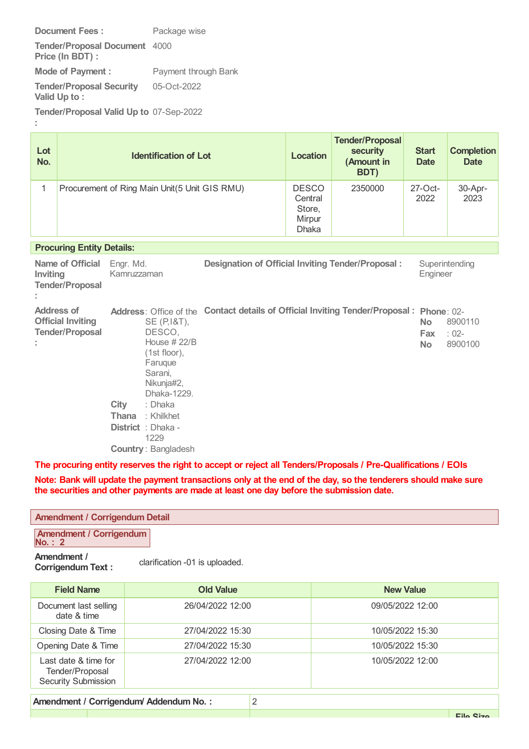**Document Fees:** Package wise

**Tender/Proposal Document** 4000 **Price (In BDT) :**

**Mode of Payment :** Payment through Bank **Tender/Proposal Security Valid Up to :** 05-Oct-2022

**Tender/Proposal Valid Up to** 07-Sep-2022

**:**

| Lot<br>No. |                                                                         | <b>Identification of Lot</b>                                                                                                                                                             |                                                                                         | <b>Location</b>                                             | <b>Tender/Proposal</b><br><b>security</b><br>(Amount in<br>BDT) | <b>Start</b><br><b>Date</b>   | <b>Completion</b><br><b>Date</b> |
|------------|-------------------------------------------------------------------------|------------------------------------------------------------------------------------------------------------------------------------------------------------------------------------------|-----------------------------------------------------------------------------------------|-------------------------------------------------------------|-----------------------------------------------------------------|-------------------------------|----------------------------------|
| 1          |                                                                         | Procurement of Ring Main Unit(5 Unit GIS RMU)                                                                                                                                            |                                                                                         | <b>DESCO</b><br>Central<br>Store,<br>Mirpur<br><b>Dhaka</b> | 2350000                                                         | $27$ -Oct-<br>2022            | 30-Apr-<br>2023                  |
|            | <b>Procuring Entity Details:</b>                                        |                                                                                                                                                                                          |                                                                                         |                                                             |                                                                 |                               |                                  |
| Inviting   | Name of Official<br><b>Tender/Proposal</b>                              | Engr. Md.<br>Kamruzzaman                                                                                                                                                                 | <b>Designation of Official Inviting Tender/Proposal:</b>                                |                                                             |                                                                 | Engineer                      | Superintending                   |
|            | <b>Address of</b><br><b>Official Inviting</b><br><b>Tender/Proposal</b> | SE (P, 1&T),<br>DESCO.<br>House # 22/B<br>(1st floor),<br>Faruque<br>Sarani,<br>Nikunja#2,<br>Dhaka-1229.<br>City<br>: Dhaka<br>: Khilkhet<br>Thana<br><b>District</b> : Dhaka -<br>1229 | Address: Office of the Contact details of Official Inviting Tender/Proposal: Phone: 02- |                                                             |                                                                 | <b>No</b><br>Fax<br><b>No</b> | 8900110<br>$: 02 -$<br>8900100   |

**Country** : Bangladesh

**The procuring entity reserves the right to accept or reject all Tenders/Proposals / Pre-Qualifications / EOIs**

Note: Bank will update the payment transactions only at the end of the day, so the tenderers should make sure **the securities and other payments are made at least one day before the submission date.**

| <b>Amendment / Corrigendum Detail</b>                                     |                  |                  |  |
|---------------------------------------------------------------------------|------------------|------------------|--|
| <b>Amendment / Corrigendum</b><br><b>No.: 2</b>                           |                  |                  |  |
| Amendment /<br>clarification -01 is uploaded.<br><b>Corrigendum Text:</b> |                  |                  |  |
| <b>Field Name</b>                                                         | <b>Old Value</b> | <b>New Value</b> |  |
| Document last selling<br>date & time                                      | 26/04/2022 12:00 | 09/05/2022 12:00 |  |
| Closing Date & Time                                                       | 27/04/2022 15:30 | 10/05/2022 15:30 |  |
| Opening Date & Time                                                       | 27/04/2022 15:30 | 10/05/2022 15:30 |  |
| Last date & time for<br>Tender/Proposal<br><b>Security Submission</b>     | 27/04/2022 12:00 | 10/05/2022 12:00 |  |
| 2<br>Amendment / Corrigendum/ Addendum No.:                               |                  |                  |  |